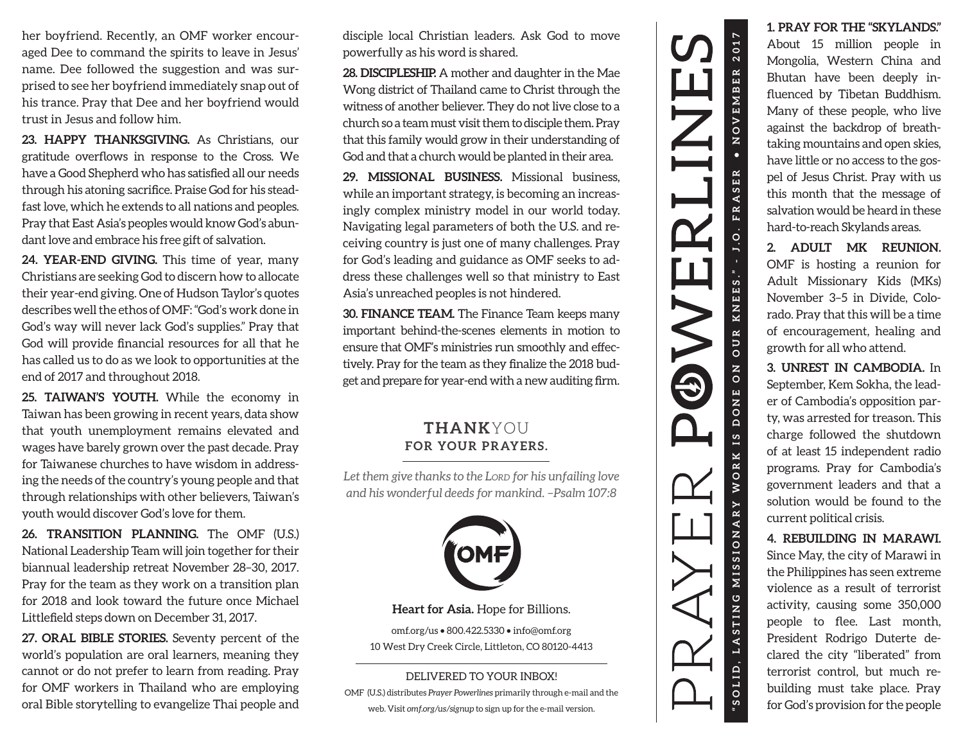her boyfriend. Recently, an OMF worker encouraged Dee to command the spirits to leave in Jesus' name. Dee followed the suggestion and was surprised to see her boyfriend immediately snap out of his trance. Pray that Dee and her boyfriend would trust in Jesus and follow him.

**23. HAPPY THANKSGIVING.** As Christians, our gratitude overflows in response to the Cross. We have a Good Shepherd who has satisfied all our needs through his atoning sacrifice. Praise God for his steadfast love, which he extends to all nations and peoples. Pray that East Asia's peoples would know God's abundant love and embrace his free gift of salvation.

**24. YEAR-END GIVING.** This time of year, many Christians are seeking God to discern how to allocate their year-end giving. One of Hudson Taylor's quotes describes well the ethos of OMF: "God's work done in God's way will

**25. TAIWAN'S YOUTH.** While the economy in Taiwan has been growing in recent years, data show that youth unemployment remains elevated and wages have barely grown over the past decade. Pray for Taiwanese churches to have wisdom in addressing the needs of the country's young people and that through relationships with other believers, Taiwan's youth would discover God's love for them.

**26. TRANSITION PLANNING.** The OMF (U.S.) National Leadership Team will join together for their biannual leadership retreat November 28–30, 2017. Pray for the team as they work on a transition plan for 2018 and look toward the future once Michael Littlefield steps down on December 31, 2017.

**27. ORAL BIBLE STORIES.** Seventy percent of the world's population are oral learners, meaning they cannot or do not prefer to learn from reading. Pray for OMF workers in Thailand who are employing oral Bible storytelling to evangelize Thai people and

disciple local Christian leaders. Ask God to move powerfully as his word is shared.

**28. DISCIPLESHIP.** A mother and daughter in the Mae Wong district of Thailand came to Christ through the witness of another believer. They do not live close to a church so a team must visit them to disciple them. Pray that this family would grow in their understanding of God and that a church would be planted in their area.

**29. MISSIONAL BUSINESS.** Missional business, while an important strategy, is becoming an increasingly complex ministry model in our world today. Navigating legal parameters of both the U.S. and receiving country is just one of many challenges. Pray for God's leading and guidance as OMF seeks to address these challenges well so that ministry to East Asia's unreached peoples is not hindered.

**30. FINANCE TEAM.** The Finance Team keeps many important behind-the-scenes elements in motion to ensure that OMF's ministries run smoothly and effectively. Pray for the team as they finalize the 2018 budget and prepare for year-end with a new auditing firm.

## **THANK**YOU **FOR YOUR PRAYERS.**

*Let them give thanks to the LORD for his unfailing love and his wonderful deeds for mankind. –Psalm 107:8*



**Heart for Asia.** Hope for Billions.

omf.org/us • 800.422.5330 • info@omf.org 10 West Dry Creek Circle, Littleton, CO 80120-4413

## DELIVERED TO YOUR INBOX!

OMF (U.S.) distributes *Prayer Powerlines* primarily through e-mail and the web. Visit *omf.org/us/signup* to sign up for the e-mail version.



## **1. PRAY FOR THE "SKYLANDS."**

About 15 million people in Mongolia, Western China and Bhutan have been deeply influenced by Tibetan Buddhism. Many of these people, who live against the backdrop of breathtaking mountains and open skies, have little or no access to the gospel of Jesus Christ. Pray with us this month that the message of salvation would be heard in these hard-to-reach Skylands areas.

**2. ADULT MK REUNION.**  OMF is hosting a reunion for Adult Missionary Kids (MKs) November 3–5 in Divide, Colo rado. Pray that this will be a time of encouragement, healing and growth for all who attend.

**3. UNREST IN CAMBODIA.** In September, Kem Sokha, the leader of Cambodia's opposition party, was arrested for treason. This charge followed the shutdown of at least 15 independent radio programs. Pray for Cambodia's government leaders and that a solution would be found to the current political crisis.

## **4. REBUILDING IN MARAWI.**

Since May, the city of Marawi in the Philippines has seen extreme violence as a result of terrorist activity, causing some 350,000 people to flee. Last month, President Rodrigo Duterte declared the city "liberated" from terrorist control, but much rebuilding must take place. Pray for God's provision for the people